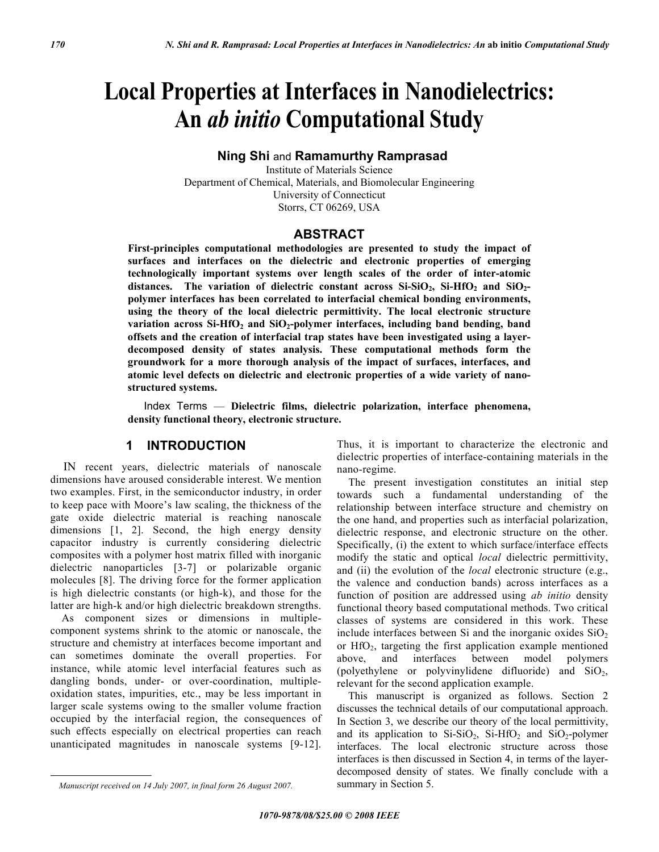# **Local Properties at Interfaces in Nanodielectrics: An** *ab initio* **Computational Study**

## **Ning Shi** and **Ramamurthy Ramprasad**

Institute of Materials Science Department of Chemical, Materials, and Biomolecular Engineering University of Connecticut Storrs, CT 06269, USA

### **ABSTRACT**

**First-principles computational methodologies are presented to study the impact of surfaces and interfaces on the dielectric and electronic properties of emerging technologically important systems over length scales of the order of inter-atomic**  distances. The variation of dielectric constant across  $Si-SiO<sub>2</sub>$ ,  $Si-HfO<sub>2</sub>$  and  $SiO<sub>2</sub>$ **polymer interfaces has been correlated to interfacial chemical bonding environments, using the theory of the local dielectric permittivity. The local electronic structure**  variation across Si-HfO<sub>2</sub> and SiO<sub>2</sub>-polymer interfaces, including band bending, band **offsets and the creation of interfacial trap states have been investigated using a layerdecomposed density of states analysis. These computational methods form the groundwork for a more thorough analysis of the impact of surfaces, interfaces, and atomic level defects on dielectric and electronic properties of a wide variety of nanostructured systems.** 

 Index Terms — **Dielectric films, dielectric polarization, interface phenomena, density functional theory, electronic structure.** 

## **1 INTRODUCTION**

IN recent years, dielectric materials of nanoscale dimensions have aroused considerable interest. We mention two examples. First, in the semiconductor industry, in order to keep pace with Moore's law scaling, the thickness of the gate oxide dielectric material is reaching nanoscale dimensions [1, 2]. Second, the high energy density capacitor industry is currently considering dielectric composites with a polymer host matrix filled with inorganic dielectric nanoparticles [3-7] or polarizable organic molecules [8]. The driving force for the former application is high dielectric constants (or high-k), and those for the latter are high-k and/or high dielectric breakdown strengths.

As component sizes or dimensions in multiplecomponent systems shrink to the atomic or nanoscale, the structure and chemistry at interfaces become important and can sometimes dominate the overall properties. For instance, while atomic level interfacial features such as dangling bonds, under- or over-coordination, multipleoxidation states, impurities, etc., may be less important in larger scale systems owing to the smaller volume fraction occupied by the interfacial region, the consequences of such effects especially on electrical properties can reach unanticipated magnitudes in nanoscale systems [9-12].

Thus, it is important to characterize the electronic and dielectric properties of interface-containing materials in the nano-regime.

The present investigation constitutes an initial step towards such a fundamental understanding of the relationship between interface structure and chemistry on the one hand, and properties such as interfacial polarization, dielectric response, and electronic structure on the other. Specifically, (i) the extent to which surface/interface effects modify the static and optical *local* dielectric permittivity, and (ii) the evolution of the *local* electronic structure (e.g., the valence and conduction bands) across interfaces as a function of position are addressed using *ab initio* density functional theory based computational methods. Two critical classes of systems are considered in this work. These include interfaces between Si and the inorganic oxides  $SiO<sub>2</sub>$ or  $HfO<sub>2</sub>$ , targeting the first application example mentioned above, and interfaces between model polymers (polyethylene or polyvinylidene difluoride) and  $SiO<sub>2</sub>$ , relevant for the second application example.

This manuscript is organized as follows. Section 2 discusses the technical details of our computational approach. In Section 3, we describe our theory of the local permittivity, and its application to  $Si-SiO<sub>2</sub>$ ,  $Si-HfO<sub>2</sub>$  and  $SiO<sub>2</sub>-polymer$ interfaces. The local electronic structure across those interfaces is then discussed in Section 4, in terms of the layerdecomposed density of states. We finally conclude with a

*Manuscript received on 14 July 2007, in final form 26 August 2007.* summary in Section 5.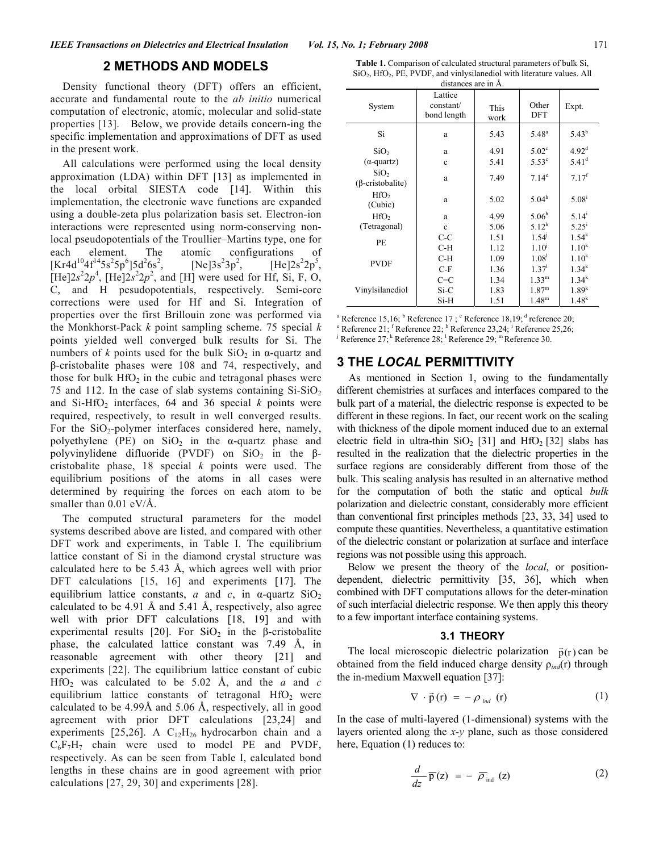## **2 METHODS AND MODELS**

Density functional theory (DFT) offers an efficient, accurate and fundamental route to the *ab initio* numerical computation of electronic, atomic, molecular and solid-state properties [13]. Below, we provide details concern-ing the specific implementation and approximations of DFT as used in the present work.

All calculations were performed using the local density approximation (LDA) within DFT [13] as implemented in the local orbital SIESTA code [14]. Within this implementation, the electronic wave functions are expanded using a double-zeta plus polarization basis set. Electron-ion interactions were represented using norm-conserving nonlocal pseudopotentials of the Troullier–Martins type, one for each element. The atomic configurations of  $[Kr4d^{10}4f^{14}5s^25p^6]5d^26s^2$  $\text{[Ne]}3s^23p^2$  $[He]2s^22p^5$ ,  $[He]2s^22p^4$ ,  $[He]2s^22p^2$ , and  $[H]$  were used for Hf, Si, F, O, C, and H pesudopotentials, respectively. Semi-core corrections were used for Hf and Si. Integration of properties over the first Brillouin zone was performed via the Monkhorst-Pack *k* point sampling scheme. 75 special *k* points yielded well converged bulk results for Si. The numbers of *k* points used for the bulk  $SiO<sub>2</sub>$  in  $\alpha$ -quartz and β-cristobalite phases were 108 and 74, respectively, and those for bulk  $HfO<sub>2</sub>$  in the cubic and tetragonal phases were 75 and 112. In the case of slab systems containing  $Si-SiO<sub>2</sub>$ and  $Si-HfO<sub>2</sub>$  interfaces, 64 and 36 special *k* points were required, respectively, to result in well converged results. For the  $SiO<sub>2</sub>$ -polymer interfaces considered here, namely, polyethylene (PE) on  $SiO<sub>2</sub>$  in the  $\alpha$ -quartz phase and polyvinylidene difluoride (PVDF) on  $SiO<sub>2</sub>$  in the  $\beta$ cristobalite phase, 18 special *k* points were used. The equilibrium positions of the atoms in all cases were determined by requiring the forces on each atom to be smaller than 0.01 eV/Å.

The computed structural parameters for the model systems described above are listed, and compared with other DFT work and experiments, in Table I. The equilibrium lattice constant of Si in the diamond crystal structure was calculated here to be 5.43 Å, which agrees well with prior DFT calculations [15, 16] and experiments [17]. The equilibrium lattice constants, *a* and *c*, in  $\alpha$ -quartz SiO<sub>2</sub> calculated to be 4.91 Å and 5.41 Å, respectively, also agree well with prior DFT calculations [18, 19] and with experimental results [20]. For  $SiO<sub>2</sub>$  in the β-cristobalite phase, the calculated lattice constant was 7.49 Å, in reasonable agreement with other theory [21] and experiments [22]. The equilibrium lattice constant of cubic HfO<sub>2</sub> was calculated to be  $5.02$  Å, and the *a* and *c* equilibrium lattice constants of tetragonal  $HfO<sub>2</sub>$  were calculated to be 4.99Å and 5.06 Å, respectively, all in good agreement with prior DFT calculations [23,24] and experiments [25,26]. A  $C_{12}H_{26}$  hydrocarbon chain and a  $C_6F_7H_7$  chain were used to model PE and PVDF, respectively. As can be seen from Table I, calculated bond lengths in these chains are in good agreement with prior calculations [27, 29, 30] and experiments [28].

Table 1. Comparison of calculated structural parameters of bulk Si, SiO2, HfO2, PE, PVDF, and vinlysilanediol with literature values. All distances are in Å.

| System                                      | Lattice<br>constant/<br>bond length | This<br>work | Other<br><b>DFT</b> | Expt.               |
|---------------------------------------------|-------------------------------------|--------------|---------------------|---------------------|
| Si                                          | a                                   | 5.43         | $5.48$ <sup>a</sup> | $5.43^{b}$          |
| SiO <sub>2</sub>                            | a                                   | 4.91         | $5.02^{\circ}$      | 4.92 <sup>d</sup>   |
| $(\alpha$ -quartz)                          | $\mathbf c$                         | 5.41         | $5.53^{\circ}$      | $5.41$ <sup>d</sup> |
| SiO <sub>2</sub><br>$(\beta$ -cristobalite) | a                                   | 7.49         | 7.14 <sup>e</sup>   | 7.17 <sup>f</sup>   |
| HfO <sub>2</sub><br>(Cubic)                 | a                                   | 5.02         | $5.04^h$            | $5.08^{i}$          |
| HfO <sub>2</sub>                            | a                                   | 4.99         | 5.06 <sup>h</sup>   | 5.14 <sup>1</sup>   |
| (Tetragonal)                                | $\mathbf c$                         | 5.06         | $5.12^h$            | $5.25^1$            |
| PE                                          | $C-C$                               | 1.51         | $1.54^{j}$          | $1.54^{k}$          |
|                                             | $C-H$                               | 1.12         | $1.10^{j}$          | $1.10^{k}$          |
| <b>PVDF</b>                                 | $C-H$                               | 1.09         | 1.08 <sup>1</sup>   | $1.10^{k}$          |
|                                             | $C-F$                               | 1.36         | 1.37 <sup>1</sup>   | $1.34^{k}$          |
| Vinylsilanediol                             | $C = C$                             | 1.34         | 1.33 <sup>m</sup>   | $1.34^{k}$          |
|                                             | $Si-C$                              | 1.83         | 1.87 <sup>m</sup>   | $1.89^{k}$          |
|                                             | $Si-H$                              | 1.51         | 1.48 <sup>m</sup>   | $1.48^{k}$          |

<sup>a</sup> Reference 15,16; <sup>b</sup> Reference 17; <sup>c</sup> Reference 18,19; <sup>d</sup> reference 20;<br><sup>e</sup> Reference 21: <sup>f</sup> Reference 22: <sup>h</sup> Reference 22, 24: <sup>i</sup> Reference 25,26; Reference 21; <sup>f</sup> Reference 22; <sup>h</sup> Reference 23,24; <sup>i</sup> Reference 25,26; Reference 27; Reference 28;  $\frac{1}{2}$  Reference 29; m Reference 30.

## **3 THE** *LOCAL* **PERMITTIVITY**

As mentioned in Section 1, owing to the fundamentally different chemistries at surfaces and interfaces compared to the bulk part of a material, the dielectric response is expected to be different in these regions. In fact, our recent work on the scaling with thickness of the dipole moment induced due to an external electric field in ultra-thin  $SiO<sub>2</sub>$  [31] and HfO<sub>2</sub> [32] slabs has resulted in the realization that the dielectric properties in the surface regions are considerably different from those of the bulk. This scaling analysis has resulted in an alternative method for the computation of both the static and optical *bulk* polarization and dielectric constant, considerably more efficient than conventional first principles methods [23, 33, 34] used to compute these quantities. Nevertheless, a quantitative estimation of the dielectric constant or polarization at surface and interface regions was not possible using this approach.

Below we present the theory of the *local*, or positiondependent, dielectric permittivity [35, 36], which when combined with DFT computations allows for the deter-mination of such interfacial dielectric response. We then apply this theory to a few important interface containing systems.

#### **3.1 THEORY**

The local microscopic dielectric polarization  $\vec{p}(r)$  can be obtained from the field induced charge density ρ*ind*(r) through the in-medium Maxwell equation [37]:

$$
\nabla \cdot \vec{p}(r) = -\rho_{ind}(r) \tag{1}
$$

In the case of multi-layered (1-dimensional) systems with the layers oriented along the *x-y* plane, such as those considered here, Equation (1) reduces to:

$$
\frac{d}{dz}\overline{\mathbf{p}}(z) = -\overline{\rho}_{ind}(z) \tag{2}
$$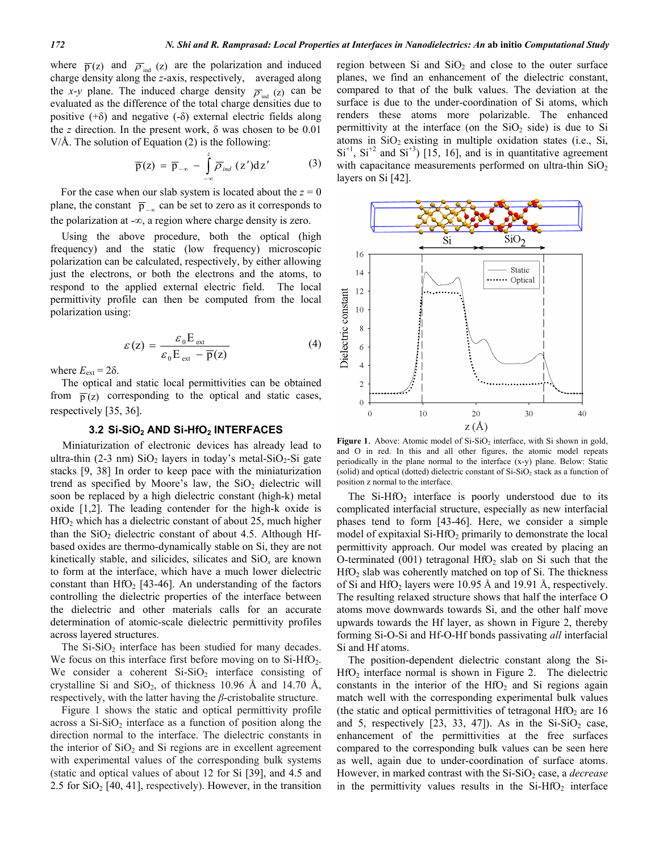where  $\overline{p}(z)$  and  $\overline{p}_{ind}(z)$  are the polarization and induced charge density along the *z*-axis, respectively, averaged along the *x*-*y* plane. The induced charge density  $\overline{\rho}_{ind}$  (z) can be evaluated as the difference of the total charge densities due to positive  $(+\delta)$  and negative  $(-\delta)$  external electric fields along the *z* direction. In the present work, δ was chosen to be  $0.01$ V/Å. The solution of Equation (2) is the following:

$$
\overline{p}(z) = \overline{p}_{-\infty} - \int_{-\infty}^{z} \overline{\rho}_{ind} (z') dz' \qquad (3)
$$

For the case when our slab system is located about the  $z = 0$ plane, the constant  $\bar{p}_{-\infty}$  can be set to zero as it corresponds to the polarization at -*∞*, a region where charge density is zero.

Using the above procedure, both the optical (high frequency) and the static (low frequency) microscopic polarization can be calculated, respectively, by either allowing just the electrons, or both the electrons and the atoms, to respond to the applied external electric field. The local permittivity profile can then be computed from the local polarization using:

$$
\varepsilon(z) = \frac{\varepsilon_0 E_{\text{ext}}}{\varepsilon_0 E_{\text{ext}} - \overline{p}(z)}
$$
(4)

where  $E_{\text{ext}} = 2\delta$ .

The optical and static local permittivities can be obtained from  $\bar{p}(z)$  corresponding to the optical and static cases, respectively [35, 36].

#### **3.2 Si-SiO2 AND Si-HfO2 INTERFACES**

Miniaturization of electronic devices has already lead to ultra-thin (2-3 nm)  $SiO<sub>2</sub>$  layers in today's metal- $SiO<sub>2</sub>$ -Si gate stacks [9, 38] In order to keep pace with the miniaturization trend as specified by Moore's law, the  $SiO<sub>2</sub>$  dielectric will soon be replaced by a high dielectric constant (high-k) metal oxide [1,2]. The leading contender for the high-k oxide is  $HfO<sub>2</sub>$  which has a dielectric constant of about 25, much higher than the  $SiO<sub>2</sub>$  dielectric constant of about 4.5. Although Hfbased oxides are thermo-dynamically stable on Si, they are not kinetically stable, and silicides, silicates and SiO*<sup>x</sup>* are known to form at the interface, which have a much lower dielectric constant than  $HfO<sub>2</sub>$  [43-46]. An understanding of the factors controlling the dielectric properties of the interface between the dielectric and other materials calls for an accurate determination of atomic-scale dielectric permittivity profiles across layered structures.

The Si-SiO<sub>2</sub> interface has been studied for many decades. We focus on this interface first before moving on to  $Si-HfO<sub>2</sub>$ . We consider a coherent  $Si-SiO<sub>2</sub>$  interface consisting of crystalline Si and  $SiO<sub>2</sub>$ , of thickness 10.96 Å and 14.70 Å, respectively, with the latter having the *β*-cristobalite structure.

Figure 1 shows the static and optical permittivity profile across a  $Si-SiO<sub>2</sub>$  interface as a function of position along the direction normal to the interface. The dielectric constants in the interior of  $SiO<sub>2</sub>$  and  $Si$  regions are in excellent agreement with experimental values of the corresponding bulk systems (static and optical values of about 12 for Si [39], and 4.5 and 2.5 for  $SiO<sub>2</sub>$  [40, 41], respectively). However, in the transition

region between Si and  $SiO<sub>2</sub>$  and close to the outer surface planes, we find an enhancement of the dielectric constant, compared to that of the bulk values. The deviation at the surface is due to the under-coordination of Si atoms, which renders these atoms more polarizable. The enhanced permittivity at the interface (on the  $SiO<sub>2</sub>$  side) is due to Si atoms in  $SiO<sub>2</sub>$  existing in multiple oxidation states (i.e., Si,  $Si<sup>+1</sup>$ ,  $Si<sup>+2</sup>$  and  $Si<sup>+3</sup>$  [15, 16], and is in quantitative agreement with capacitance measurements performed on ultra-thin  $SiO<sub>2</sub>$ layers on Si [42].



**Figure 1.** Above: Atomic model of  $Si-SiO<sub>2</sub>$  interface, with Si shown in gold, and O in red. In this and all other figures, the atomic model repeats periodically in the plane normal to the interface (x-y) plane. Below: Static (solid) and optical (dotted) dielectric constant of  $Si-SiO<sub>2</sub>$  stack as a function of position z normal to the interface.

The  $Si-HfO<sub>2</sub>$  interface is poorly understood due to its complicated interfacial structure, especially as new interfacial phases tend to form [43-46]. Here, we consider a simple model of expitaxial  $Si-HfO<sub>2</sub>$  primarily to demonstrate the local permittivity approach. Our model was created by placing an O-terminated  $(001)$  tetragonal HfO<sub>2</sub> slab on Si such that the  $HfO<sub>2</sub>$  slab was coherently matched on top of Si. The thickness of Si and HfO<sub>2</sub> layers were 10.95 Å and 19.91 Å, respectively. The resulting relaxed structure shows that half the interface O atoms move downwards towards Si, and the other half move upwards towards the Hf layer, as shown in Figure 2, thereby forming Si-O-Si and Hf-O-Hf bonds passivating *all* interfacial Si and Hf atoms.

The position-dependent dielectric constant along the Si- $HfO<sub>2</sub>$  interface normal is shown in Figure 2. The dielectric constants in the interior of the  $HfO<sub>2</sub>$  and Si regions again match well with the corresponding experimental bulk values (the static and optical permittivities of tetragonal  $HfO<sub>2</sub>$  are 16 and 5, respectively  $[23, 33, 47]$ ). As in the Si-SiO<sub>2</sub> case, enhancement of the permittivities at the free surfaces compared to the corresponding bulk values can be seen here as well, again due to under-coordination of surface atoms. However, in marked contrast with the Si-SiO<sub>2</sub> case, a *decrease* in the permittivity values results in the  $Si-HfO<sub>2</sub>$  interface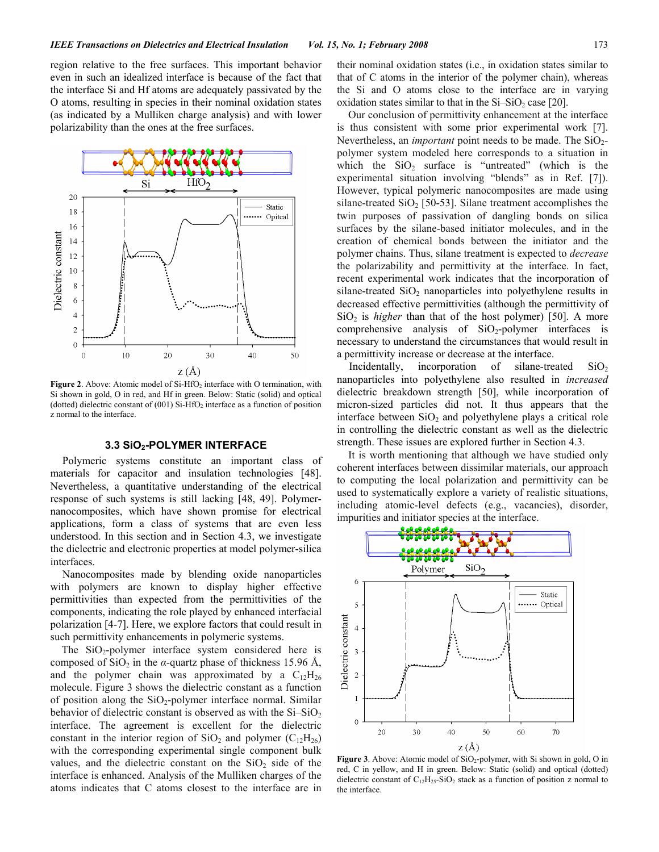region relative to the free surfaces. This important behavior even in such an idealized interface is because of the fact that the interface Si and Hf atoms are adequately passivated by the O atoms, resulting in species in their nominal oxidation states (as indicated by a Mulliken charge analysis) and with lower polarizability than the ones at the free surfaces.



Figure 2. Above: Atomic model of Si-HfO<sub>2</sub> interface with O termination, with Si shown in gold, O in red, and Hf in green. Below: Static (solid) and optical (dotted) dielectric constant of  $(001)$  Si-HfO<sub>2</sub> interface as a function of position z normal to the interface.

#### **3.3 SiO2-POLYMER INTERFACE**

Polymeric systems constitute an important class of materials for capacitor and insulation technologies [48]. Nevertheless, a quantitative understanding of the electrical response of such systems is still lacking [48, 49]. Polymernanocomposites, which have shown promise for electrical applications, form a class of systems that are even less understood. In this section and in Section 4.3, we investigate the dielectric and electronic properties at model polymer-silica interfaces.

Nanocomposites made by blending oxide nanoparticles with polymers are known to display higher effective permittivities than expected from the permittivities of the components, indicating the role played by enhanced interfacial polarization [4-7]. Here, we explore factors that could result in such permittivity enhancements in polymeric systems.

The  $SiO_2$ -polymer interface system considered here is composed of  $SiO<sub>2</sub>$  in the *α*-quartz phase of thickness 15.96 Å, and the polymer chain was approximated by a  $C_{12}H_{26}$ molecule. Figure 3 shows the dielectric constant as a function of position along the  $SiO<sub>2</sub>$ -polymer interface normal. Similar behavior of dielectric constant is observed as with the  $Si-SiO<sub>2</sub>$ interface. The agreement is excellent for the dielectric constant in the interior region of  $SiO<sub>2</sub>$  and polymer  $(C<sub>12</sub>H<sub>26</sub>)$ with the corresponding experimental single component bulk values, and the dielectric constant on the  $SiO<sub>2</sub>$  side of the interface is enhanced. Analysis of the Mulliken charges of the atoms indicates that C atoms closest to the interface are in their nominal oxidation states (i.e., in oxidation states similar to that of C atoms in the interior of the polymer chain), whereas the Si and O atoms close to the interface are in varying oxidation states similar to that in the  $Si-SiO<sub>2</sub>$  case [20].

Our conclusion of permittivity enhancement at the interface is thus consistent with some prior experimental work [7]. Nevertheless, an *important* point needs to be made. The SiO<sub>2</sub>polymer system modeled here corresponds to a situation in which the  $SiO<sub>2</sub>$  surface is "untreated" (which is the experimental situation involving "blends" as in Ref. [7]). However, typical polymeric nanocomposites are made using silane-treated  $SiO<sub>2</sub>$  [50-53]. Silane treatment accomplishes the twin purposes of passivation of dangling bonds on silica surfaces by the silane-based initiator molecules, and in the creation of chemical bonds between the initiator and the polymer chains. Thus, silane treatment is expected to *decrease* the polarizability and permittivity at the interface. In fact, recent experimental work indicates that the incorporation of silane-treated  $SiO<sub>2</sub>$  nanoparticles into polyethylene results in decreased effective permittivities (although the permittivity of  $SiO<sub>2</sub>$  is *higher* than that of the host polymer) [50]. A more comprehensive analysis of  $SiO_2$ -polymer interfaces is necessary to understand the circumstances that would result in a permittivity increase or decrease at the interface.

Incidentally, incorporation of silane-treated  $SiO<sub>2</sub>$ nanoparticles into polyethylene also resulted in *increased* dielectric breakdown strength [50], while incorporation of micron-sized particles did not. It thus appears that the interface between  $SiO<sub>2</sub>$  and polyethylene plays a critical role in controlling the dielectric constant as well as the dielectric strength. These issues are explored further in Section 4.3.

It is worth mentioning that although we have studied only coherent interfaces between dissimilar materials, our approach to computing the local polarization and permittivity can be used to systematically explore a variety of realistic situations, including atomic-level defects (e.g., vacancies), disorder, impurities and initiator species at the interface.



Figure 3. Above: Atomic model of SiO<sub>2</sub>-polymer, with Si shown in gold, O in red, C in yellow, and H in green. Below: Static (solid) and optical (dotted) dielectric constant of  $C_{12}H_{25}$ -SiO<sub>2</sub> stack as a function of position z normal to the interface.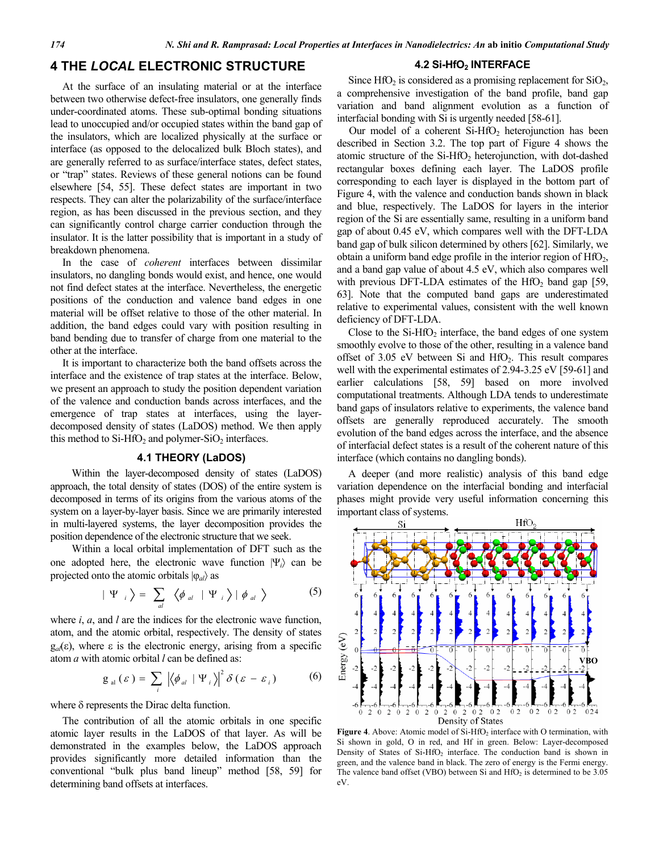## **4 THE** *LOCAL* **ELECTRONIC STRUCTURE**

At the surface of an insulating material or at the interface between two otherwise defect-free insulators, one generally finds under-coordinated atoms. These sub-optimal bonding situations lead to unoccupied and/or occupied states within the band gap of the insulators, which are localized physically at the surface or interface (as opposed to the delocalized bulk Bloch states), and are generally referred to as surface/interface states, defect states, or "trap" states. Reviews of these general notions can be found elsewhere [54, 55]. These defect states are important in two respects. They can alter the polarizability of the surface/interface region, as has been discussed in the previous section, and they can significantly control charge carrier conduction through the insulator. It is the latter possibility that is important in a study of breakdown phenomena.

In the case of *coherent* interfaces between dissimilar insulators, no dangling bonds would exist, and hence, one would not find defect states at the interface. Nevertheless, the energetic positions of the conduction and valence band edges in one material will be offset relative to those of the other material. In addition, the band edges could vary with position resulting in band bending due to transfer of charge from one material to the other at the interface.

It is important to characterize both the band offsets across the interface and the existence of trap states at the interface. Below, we present an approach to study the position dependent variation of the valence and conduction bands across interfaces, and the emergence of trap states at interfaces, using the layerdecomposed density of states (LaDOS) method. We then apply this method to  $Si-HfO<sub>2</sub>$  and polymer- $SiO<sub>2</sub>$  interfaces.

### **4.1 THEORY (LaDOS)**

Within the layer-decomposed density of states (LaDOS) approach, the total density of states (DOS) of the entire system is decomposed in terms of its origins from the various atoms of the system on a layer-by-layer basis. Since we are primarily interested in multi-layered systems, the layer decomposition provides the position dependence of the electronic structure that we seek.

Within a local orbital implementation of DFT such as the one adopted here, the electronic wave function  $|\Psi_i\rangle$  can be projected onto the atomic orbitals |φ*al*〉 as

$$
|\Psi_{i}\rangle = \sum_{al} \langle \phi_{al} | \Psi_{i}\rangle | \phi_{al}\rangle \qquad (5)
$$

where *i*, *a*, and *l* are the indices for the electronic wave function, atom, and the atomic orbital, respectively. The density of states g*al*(ε), where ε is the electronic energy, arising from a specific atom *a* with atomic orbital *l* can be defined as:

$$
g_{al}(\varepsilon) = \sum_{i} \left| \langle \phi_{al} | \Psi_{i} \rangle \right|^{2} \delta(\varepsilon - \varepsilon_{i}) \tag{6}
$$

where δ represents the Dirac delta function.

The contribution of all the atomic orbitals in one specific atomic layer results in the LaDOS of that layer. As will be demonstrated in the examples below, the LaDOS approach provides significantly more detailed information than the conventional "bulk plus band lineup" method [58, 59] for determining band offsets at interfaces.

## **4.2 Si-HfO<sub>2</sub> INTERFACE**

Since  $HfO<sub>2</sub>$  is considered as a promising replacement for  $SiO<sub>2</sub>$ , a comprehensive investigation of the band profile, band gap variation and band alignment evolution as a function of interfacial bonding with Si is urgently needed [58-61].

Our model of a coherent  $Si-HfO<sub>2</sub>$  heterojunction has been described in Section 3.2. The top part of Figure 4 shows the atomic structure of the  $Si-HfO<sub>2</sub>$  heterojunction, with dot-dashed rectangular boxes defining each layer. The LaDOS profile corresponding to each layer is displayed in the bottom part of Figure 4, with the valence and conduction bands shown in black and blue, respectively. The LaDOS for layers in the interior region of the Si are essentially same, resulting in a uniform band gap of about 0.45 eV, which compares well with the DFT-LDA band gap of bulk silicon determined by others [62]. Similarly, we obtain a uniform band edge profile in the interior region of  $HfO<sub>2</sub>$ , and a band gap value of about 4.5 eV, which also compares well with previous DFT-LDA estimates of the  $HfO<sub>2</sub>$  band gap [59, 63]. Note that the computed band gaps are underestimated relative to experimental values, consistent with the well known deficiency of DFT-LDA.

Close to the  $Si-HfO<sub>2</sub>$  interface, the band edges of one system smoothly evolve to those of the other, resulting in a valence band offset of  $3.05$  eV between Si and HfO<sub>2</sub>. This result compares well with the experimental estimates of 2.94-3.25 eV [59-61] and earlier calculations [58, 59] based on more involved computational treatments. Although LDA tends to underestimate band gaps of insulators relative to experiments, the valence band offsets are generally reproduced accurately. The smooth evolution of the band edges across the interface, and the absence of interfacial defect states is a result of the coherent nature of this interface (which contains no dangling bonds).

A deeper (and more realistic) analysis of this band edge variation dependence on the interfacial bonding and interfacial phases might provide very useful information concerning this important class of systems.



Figure 4. Above: Atomic model of Si-HfO<sub>2</sub> interface with O termination, with Si shown in gold, O in red, and Hf in green. Below: Layer-decomposed Density of States of Si-HfO<sub>2</sub> interface. The conduction band is shown in green, and the valence band in black. The zero of energy is the Fermi energy. The valence band offset (VBO) between Si and  $HfO<sub>2</sub>$  is determined to be 3.05 eV.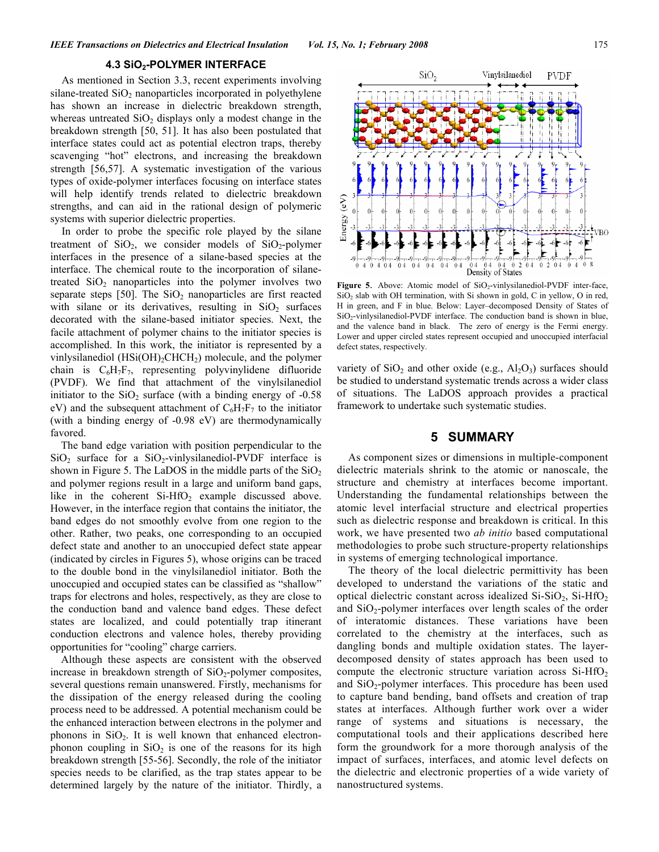#### **4.3 SiO2-POLYMER INTERFACE**

As mentioned in Section 3.3, recent experiments involving silane-treated  $SiO<sub>2</sub>$  nanoparticles incorporated in polyethylene has shown an increase in dielectric breakdown strength, whereas untreated  $SiO<sub>2</sub>$  displays only a modest change in the breakdown strength [50, 51]. It has also been postulated that interface states could act as potential electron traps, thereby scavenging "hot" electrons, and increasing the breakdown strength [56,57]. A systematic investigation of the various types of oxide-polymer interfaces focusing on interface states will help identify trends related to dielectric breakdown strengths, and can aid in the rational design of polymeric systems with superior dielectric properties.

In order to probe the specific role played by the silane treatment of  $SiO<sub>2</sub>$ , we consider models of  $SiO<sub>2</sub>$ -polymer interfaces in the presence of a silane-based species at the interface. The chemical route to the incorporation of silanetreated  $SiO<sub>2</sub>$  nanoparticles into the polymer involves two separate steps [50]. The  $SiO<sub>2</sub>$  nanoparticles are first reacted with silane or its derivatives, resulting in  $SiO<sub>2</sub>$  surfaces decorated with the silane-based initiator species. Next, the facile attachment of polymer chains to the initiator species is accomplished. In this work, the initiator is represented by a vinlysilanediol  $(HSi(OH)_{2}CHCH_{2})$  molecule, and the polymer chain is  $C_6H_7F_7$ , representing polyvinylidene difluoride (PVDF). We find that attachment of the vinylsilanediol initiator to the  $SiO<sub>2</sub>$  surface (with a binding energy of -0.58) eV) and the subsequent attachment of  $C_6H_7F_7$  to the initiator (with a binding energy of -0.98 eV) are thermodynamically favored.

The band edge variation with position perpendicular to the  $SiO<sub>2</sub>$  surface for a  $SiO<sub>2</sub>$ -vinlysilanediol-PVDF interface is shown in Figure 5. The LaDOS in the middle parts of the  $SiO<sub>2</sub>$ and polymer regions result in a large and uniform band gaps, like in the coherent  $Si-HfO<sub>2</sub>$  example discussed above. However, in the interface region that contains the initiator, the band edges do not smoothly evolve from one region to the other. Rather, two peaks, one corresponding to an occupied defect state and another to an unoccupied defect state appear (indicated by circles in Figures 5), whose origins can be traced to the double bond in the vinylsilanediol initiator. Both the unoccupied and occupied states can be classified as "shallow" traps for electrons and holes, respectively, as they are close to the conduction band and valence band edges. These defect states are localized, and could potentially trap itinerant conduction electrons and valence holes, thereby providing opportunities for "cooling" charge carriers.

Although these aspects are consistent with the observed increase in breakdown strength of  $SiO<sub>2</sub>$ -polymer composites, several questions remain unanswered. Firstly, mechanisms for the dissipation of the energy released during the cooling process need to be addressed. A potential mechanism could be the enhanced interaction between electrons in the polymer and phonons in  $SiO<sub>2</sub>$ . It is well known that enhanced electronphonon coupling in  $SiO<sub>2</sub>$  is one of the reasons for its high breakdown strength [55-56]. Secondly, the role of the initiator species needs to be clarified, as the trap states appear to be determined largely by the nature of the initiator. Thirdly, a

Energy (eV)  $\theta$ ÆО  $404$  $0<sub>4</sub>$ 0.4 04  $0<sub>4</sub>$  $\theta$  $0<sub>2</sub>$  $\Omega$  $0<sup>4</sup>$  $0.4$ Density of States Figure 5. Above: Atomic model of SiO<sub>2</sub>-vinlysilanediol-PVDF inter-face,  $SiO<sub>2</sub>$  slab with OH termination, with Si shown in gold, C in yellow, O in red, H in green, and F in blue. Below: Layer–decomposed Density of States of SiO<sub>2</sub>-vinlysilanediol-PVDF interface. The conduction band is shown in blue,

variety of  $SiO_2$  and other oxide (e.g.,  $Al_2O_3$ ) surfaces should be studied to understand systematic trends across a wider class of situations. The LaDOS approach provides a practical framework to undertake such systematic studies.

and the valence band in black. The zero of energy is the Fermi energy. Lower and upper circled states represent occupied and unoccupied interfacial

defect states, respectively.

## **5 SUMMARY**

As component sizes or dimensions in multiple-component dielectric materials shrink to the atomic or nanoscale, the structure and chemistry at interfaces become important. Understanding the fundamental relationships between the atomic level interfacial structure and electrical properties such as dielectric response and breakdown is critical. In this work, we have presented two *ab initio* based computational methodologies to probe such structure-property relationships in systems of emerging technological importance.

The theory of the local dielectric permittivity has been developed to understand the variations of the static and optical dielectric constant across idealized  $Si-SiO<sub>2</sub>$ ,  $Si-HfO<sub>2</sub>$ and  $SiO<sub>2</sub>$ -polymer interfaces over length scales of the order of interatomic distances. These variations have been correlated to the chemistry at the interfaces, such as dangling bonds and multiple oxidation states. The layerdecomposed density of states approach has been used to compute the electronic structure variation across  $Si-HfO<sub>2</sub>$ and  $SiO<sub>2</sub>$ -polymer interfaces. This procedure has been used to capture band bending, band offsets and creation of trap states at interfaces. Although further work over a wider range of systems and situations is necessary, the computational tools and their applications described here form the groundwork for a more thorough analysis of the impact of surfaces, interfaces, and atomic level defects on the dielectric and electronic properties of a wide variety of nanostructured systems.

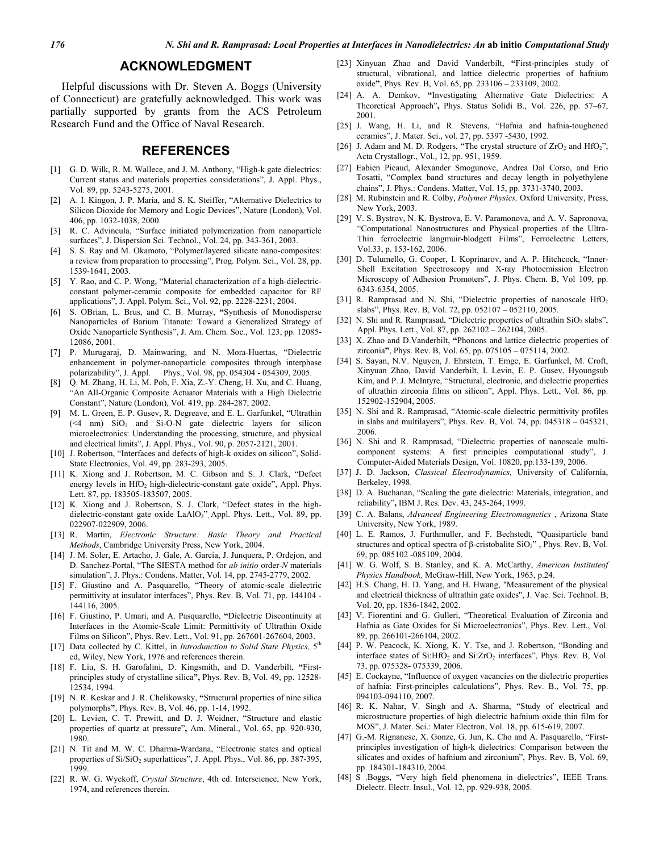## **ACKNOWLEDGMENT**

Helpful discussions with Dr. Steven A. Boggs (University of Connecticut) are gratefully acknowledged. This work was partially supported by grants from the ACS Petroleum Research Fund and the Office of Naval Research.

## **REFERENCES**

- [1] G. D. Wilk, R. M. Wallece, and J. M. Anthony, "High-k gate dielectrics: Current status and materials properties considerations", J. Appl. Phys., Vol. 89, pp. 5243-5275, 2001.
- [2] A. I. Kingon, J. P. Maria, and S. K. Steiffer, "Alternative Dielectrics to Silicon Dioxide for Memory and Logic Devices", Nature (London), Vol. 406, pp. 1032-1038, 2000.
- [3] R. C. Advincula, "Surface initiated polymerization from nanoparticle surfaces", J. Dispersion Sci. Technol., Vol. 24, pp. 343-361, 2003.
- [4] S. S. Ray and M. Okamoto, "Polymer/layered silicate nano-composites: a review from preparation to processing", Prog. Polym. Sci., Vol. 28, pp. 1539-1641, 2003.
- [5] Y. Rao, and C. P. Wong, "Material characterization of a high-dielectricconstant polymer-ceramic composite for embedded capacitor for RF applications", J. Appl. Polym. Sci., Vol. 92, pp. 2228-2231, 2004.
- [6] S. OBrian, L. Brus, and C. B. Murray, **"**Synthesis of Monodisperse Nanoparticles of Barium Titanate: Toward a Generalized Strategy of Oxide Nanoparticle Synthesis", J. Am. Chem. Soc., Vol. 123, pp. 12085- 12086, 2001.
- [7] P. Murugaraj, D. Mainwaring, and N. Mora-Huertas, "Dielectric enhancement in polymer-nanoparticle composites through interphase polarizability", J. Appl. Phys., Vol. 98, pp. 054304 - 054309, 2005.
- [8] Q. M. Zhang, H. Li, M. Poh, F. Xia, Z.-Y. Cheng, H. Xu, and C. Huang, "An All-Organic Composite Actuator Materials with a High Dielectric Constant", Nature (London), Vol. 419, pp. 284-287, 2002.
- [9] M. L. Green, E. P. Gusev, R. Degreave, and E. L. Garfunkel, "Ultrathin  $(\leq 4$  nm) SiO<sub>2</sub> and Si-O-N gate dielectric layers for silicon microelectronics: Understanding the processing, structure, and physical and electrical limits", J. Appl. Phys., Vol. 90, p. 2057-2121, 2001.
- [10] J. Robertson, "Interfaces and defects of high-k oxides on silicon", Solid-State Electronics, Vol. 49, pp. 283-293, 2005.
- [11] K. Xiong and J. Robertson, M. C. Gibson and S. J. Clark, "Defect energy levels in HfO<sub>2</sub> high-dielectric-constant gate oxide", Appl. Phys. Lett. 87, pp. 183505-183507, 2005.
- [12] K. Xiong and J. Robertson, S. J. Clark, "Defect states in the highdielectric-constant gate oxide LaAlO3", Appl. Phys. Lett., Vol. 89, pp. 022907-022909, 2006.
- [13] R. Martin, *Electronic Structure: Basic Theory and Practical Methods*, Cambridge University Press, New York, 2004.
- [14] J. M. Soler, E. Artacho, J. Gale, A. Garcia, J. Junquera, P. Ordejon, and D. Sanchez-Portal, "The SIESTA method for *ab initio* order-*N* materials simulation", J. Phys.: Condens. Matter, Vol. 14, pp. 2745-2779, 2002.
- [15] F. Giustino and A. Pasquarello, "Theory of atomic-scale dielectric permittivity at insulator interfaces", Phys. Rev. B, Vol. 71, pp. 144104 - 144116, 2005.
- [16] F. Giustino, P. Umari, and A. Pasquarello, **"**Dielectric Discontinuity at Interfaces in the Atomic-Scale Limit: Permittivity of Ultrathin Oxide Films on Silicon", Phys. Rev. Lett., Vol. 91, pp. 267601-267604, 2003.
- [17] Data collected by C. Kittel, in *Introdunction to Solid State Physics*, 5<sup>th</sup> ed, Wiley, New York, 1976 and references therein.
- [18] F. Liu, S. H. Garofalini, D. Kingsmith, and D. Vanderbilt, **"**Firstprinciples study of crystalline silica**",** Phys. Rev. B, Vol. 49, pp. 12528- 12534, 1994.
- [19] N. R. Keskar and J. R. Chelikowsky, **"**Structural properties of nine silica polymorphs**"**, Phys. Rev. B, Vol. 46, pp. 1-14, 1992.
- [20] L. Levien, C. T. Prewitt, and D. J. Weidner, "Structure and elastic properties of quartz at pressure"**,** Am. Mineral., Vol. 65, pp. 920-930, 1980.
- [21] N. Tit and M. W. C. Dharma-Wardana, "Electronic states and optical properties of Si/SiO<sub>2</sub> superlattices", J. Appl. Phys., Vol. 86, pp. 387-395, 1999.
- [22] R. W. G. Wyckoff, *Crystal Structure*, 4th ed. Interscience, New York, 1974, and references therein.
- [23] Xinyuan Zhao and David Vanderbilt, **"**First-principles study of structural, vibrational, and lattice dielectric properties of hafnium oxide**"**, Phys. Rev. B, Vol. 65, pp. 233106 – 233109, 2002.
- [24] A. A. Demkov, **"**Investigating Alternative Gate Dielectrics: A Theoretical Approach"**,** Phys. Status Solidi B., Vol. 226, pp. 57–67, 2001.
- [25] J. Wang, H. Li, and R. Stevens, "Hafnia and hafnia-toughened ceramics", J. Mater. Sci., vol. 27, pp. 5397 -5430, 1992.
- [26] J. Adam and M. D. Rodgers, "The crystal structure of  $ZrO<sub>2</sub>$  and  $HfO<sub>2</sub>$ ", Acta Crystallogr., Vol., 12, pp. 951, 1959.
- [27] Eabien Picaud, Alexander Smogunove, Andrea Dal Corso, and Erio Tosatti, "Complex band structures and decay length in polyethylene chains", J. Phys.: Condens. Matter, Vol. 15, pp. 3731-3740, 2003**.**
- [28] M. Rubinstein and R. Colby, *Polymer Physics,* Oxford University, Press, New York, 2003.
- [29] V. S. Bystrov, N. K. Bystrova, E. V. Paramonova, and A. V. Sapronova, "Computational Nanostructures and Physical properties of the Ultra-Thin ferroelectric langmuir-blodgett Films", Ferroelectric Letters, Vol.33, p. 153-162, 2006.
- [30] D. Tulumello, G. Cooper, I. Koprinarov, and A. P. Hitchcock, "Inner-Shell Excitation Spectroscopy and X-ray Photoemission Electron Microscopy of Adhesion Promoters", J. Phys. Chem. B, Vol 109, pp. 6343-6354, 2005.
- [31] R. Ramprasad and N. Shi, "Dielectric properties of nanoscale HfO<sub>2</sub> slabs", Phys. Rev. B, Vol. 72, pp. 052107 – 052110, 2005.
- [32] N. Shi and R. Ramprasad, "Dielectric properties of ultrathin SiO<sub>2</sub> slabs", Appl. Phys. Lett., Vol. 87, pp. 262102 – 262104, 2005.
- [33] X. Zhao and D.Vanderbilt, "Phonons and lattice dielectric properties of zirconia**"**, Phys. Rev. B, Vol. 65*,* pp. 075105 – 075114, 2002.
- [34] S. Sayan, N.V. Nguyen, J. Ehrstein, T. Emge, E. Garfunkel, M. Croft, Xinyuan Zhao, David Vanderbilt, I. Levin, E. P. Gusev, Hyoungsub Kim, and P. J. McIntyre, "Structural, electronic, and dielectric properties of ultrathin zirconia films on silicon", Appl. Phys. Lett., Vol. 86, pp. 152902-152904, 2005.
- [35] N. Shi and R. Ramprasad, "Atomic-scale dielectric permittivity profiles in slabs and multilayers", Phys. Rev. B, Vol. 74, pp. 045318 – 045321, 2006.
- [36] N. Shi and R. Ramprasad, "Dielectric properties of nanoscale multicomponent systems: A first principles computational study", J. Computer-Aided Materials Design, Vol. 10820, pp.133-139, 2006.
- [37] J. D. Jackson, *Classical Electrodynamics,* University of California, Berkeley, 1998.
- [38] D. A. Buchanan, "Scaling the gate dielectric: Materials, integration, and reliability"**,** IBM J. Res. Dev. 43, 245-264, 1999.
- [39] C. A. Balans, *Advanced Engineering Electromagnetics* , Arizona State University, New York, 1989.
- [40] L. E. Ramos, J. Furthmuller, and F. Bechstedt, "Quasiparticle band structures and optical spectra of β-cristobalite  $SiO<sub>2</sub>$ ", Phys. Rev. B, Vol. 69, pp. 085102 -085109, 2004.
- [41] W. G. Wolf, S. B. Stanley, and K. A. McCarthy, *American Instituteof Physics Handbook,* McGraw-Hill, New York, 1963, p.24.
- [42] H.S. Chang, H. D. Yang, and H. Hwang, "Measurement of the physical and electrical thickness of ultrathin gate oxides", J. Vac. Sci. Technol. B, Vol. 20, pp. 1836-1842, 2002.
- [43] V. Fiorentini and G. Gulleri, "Theoretical Evaluation of Zirconia and Hafnia as Gate Oxides for Si Microelectronics", Phys. Rev. Lett., Vol. 89, pp. 266101-266104, 2002.
- [44] P. W. Peacock, K. Xiong, K. Y. Tse, and J. Robertson, "Bonding and interface states of  $Si:HfO<sub>2</sub>$  and  $Si:ZrO<sub>2</sub>$  interfaces", Phys. Rev. B, Vol. 73, pp. 075328- 075339, 2006.
- [45] E. Cockayne, "Influence of oxygen vacancies on the dielectric properties of hafnia: First-principles calculations", Phys. Rev. B., Vol. 75, pp. 094103-094110, 2007.
- [46] R. K. Nahar, V. Singh and A. Sharma, "Study of electrical and microstructure properties of high dielectric hafnium oxide thin film for MOS", J. Mater. Sci.: Mater Electron, Vol. 18, pp. 615-619, 2007.
- [47] G.-M. Rignanese, X. Gonze, G. Jun, K. Cho and A. Pasquarello, "Firstprinciples investigation of high-k dielectrics: Comparison between the silicates and oxides of hafnium and zirconium", Phys. Rev. B, Vol. 69, pp. 184301-184310, 2004.
- [48] S .Boggs, "Very high field phenomena in dielectrics", IEEE Trans. Dielectr. Electr. Insul., Vol. 12, pp. 929-938, 2005.